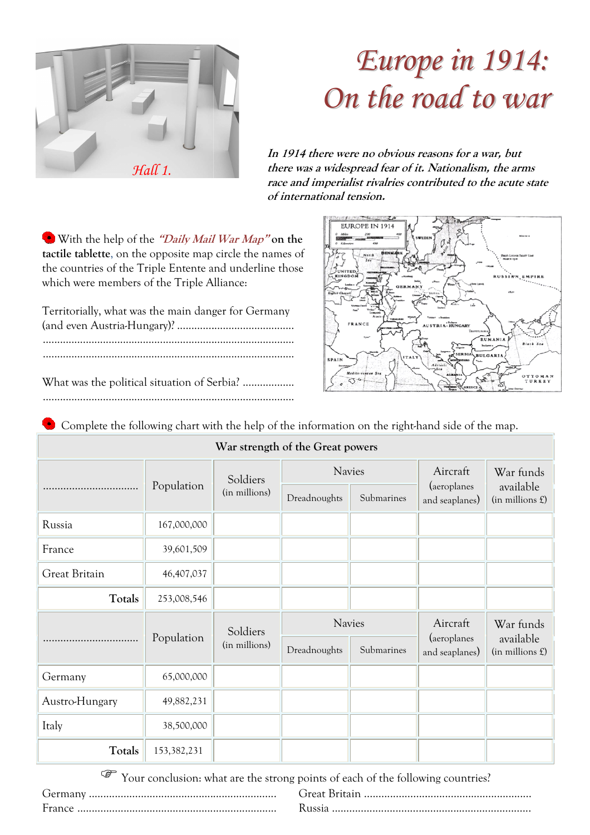

## *Europ pe in 1914: On the ro oad to war*

**In 1914 there were no obvious reasons for a war, but there was a widespread fear of it. Nationalism, the arms race and imperialist rivalries contributed to the acute state of international tension.** 



 With the help of the **"Daily Mail War Map" on the tactile tablette**, on the opposite map circle the names of the countries of the Triple Entente and underline those which were members of the Triple Alliance:

Territorially, what was the main danger for Germany (and even Austria-Hungary)? ................................ .........................................

 ................................................................ ........................................................ ................................................................ ........................................................

What was the political situation of Serbia? .................. ................................................................ ........................................................

| Complete the following chart with the help of the information on the right-hand side of the map.<br>War strength of the Great powers |             |                           |               |            |                                           |                                                |
|--------------------------------------------------------------------------------------------------------------------------------------|-------------|---------------------------|---------------|------------|-------------------------------------------|------------------------------------------------|
|                                                                                                                                      |             | Soldiers<br>(in millions) | <b>Navies</b> |            | Aircraft<br>(aeroplanes<br>and seaplanes) | War funds<br>available<br>$(in$ millions $£$ ) |
|                                                                                                                                      | Population  |                           | Dreadnoughts  | Submarines |                                           |                                                |
| Russia                                                                                                                               | 167,000,000 |                           |               |            |                                           |                                                |
| France                                                                                                                               | 39,601,509  |                           |               |            |                                           |                                                |
| Great Britain                                                                                                                        | 46,407,037  |                           |               |            |                                           |                                                |
| Totals                                                                                                                               | 253,008,546 |                           |               |            |                                           |                                                |
|                                                                                                                                      |             | Soldiers<br>(in millions) | <b>Navies</b> |            | Aircraft                                  | War funds                                      |
|                                                                                                                                      | Population  |                           | Dreadnoughts  | Submarines | (aeroplanes<br>and seaplanes)             | available<br>$(in$ millions $£$ )              |
| Germany                                                                                                                              | 65,000,000  |                           |               |            |                                           |                                                |
| Austro-Hungary                                                                                                                       | 49,882,231  |                           |               |            |                                           |                                                |
| Italy                                                                                                                                | 38,500,000  |                           |               |            |                                           |                                                |
| Totals                                                                                                                               | 153,382,231 |                           |               |            |                                           |                                                |

Your conclusion: what are the strong points of each of the following countries? Germany ................................................................. France ..................................................................... Great Britain .......................................................... ................................................. Russia .....................................................................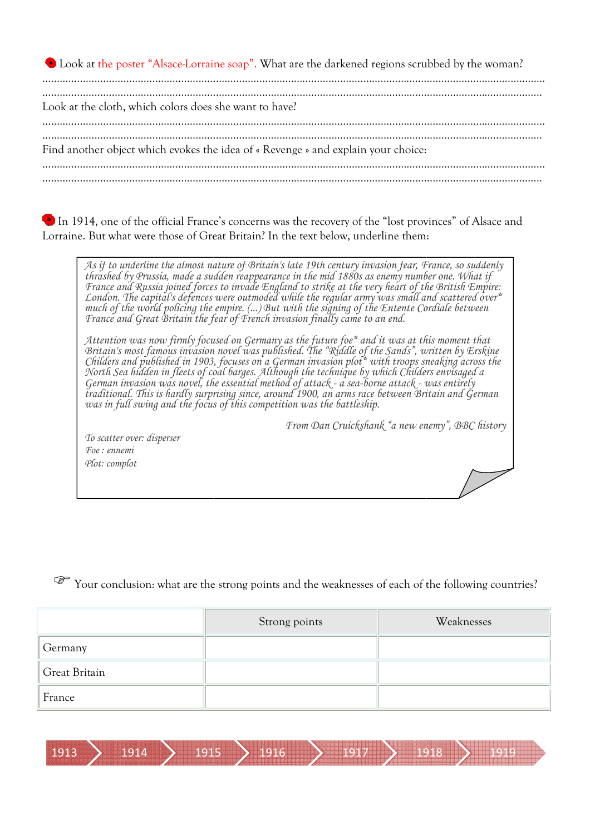Look at the poster "Alsace-Lorraine soap". What are the darkened regions scrubbed by the woman? ……………………………………………………………………………… ………………………………………………………………………………………………………………………………………………………… . The contract of the contract of the contract of the contract of the contract of the contract of the contract of the contract of the contract of the contract of the contract of the contract of the contract of the contrac Look at the cloth, which colors does she want to h have? ………………………………………………………………………………………………………………………………………………………… ………………………………………………………………………………………………………………………………………………… …………………………………………………………………………………………………………………………………………………………………………………………………………………………………..

Find another object which evokes the idea of « Revenge » and explain your choice:

…………………………………………………………………………………………………………………………………………………………

In 1914, one of the official France's concerns was the recovery of the "lost provinces" of Alsace and Lorraine. But what were those of Great Britain? In the text below, underline them:

As if to underline the almost nature of Britain's late 19th century invasion fear, France, so suddenly *thrashed by Prussia, made a sudden reappearance in the mid 1880s as enemy number one. What if France and Russia joined forces to invade England to strike at the very heart of the British Empire London. The capital's defences were outmoded while the regular army was small and scattered over much of the world policing the empire. (...) France and Great Britain the fear of French invasion finally fences But with the signing of the Entente Cordiale between came to an end.*  y invasion fear, France, so suddenly<br>Os as enemy number one. What if<br>he very heart of the British Empire: *over\** 

*Attention was now firmly focused on Germany as the future foe Britain's most famous invasion novel was published. The Childers and published in 1903, focuses on a German invasion plot North Sea hidden in fleets of coal barges. Although the technique by which Childers envisaged a German invasion was novel, the essential method of attack traditional. This is hardly surprisi was in full swing and the focus of this competition was the battleship* tion was now firmly focused on Germany as the future foe\* and it was at this moment that *"Riddle of the Sands", written by Erskine plot\* with troops sneaking across the - a sea-borne attack - was entirely surprising since, around 1900, an arms race between Britain and German battleship.*  :<br>
universes" of Alsac<br>
universes" of Alsac<br>
interactions of Material<br>
for one. What if<br>
the British Empire<br>
and scattered oversed<br>
this moment that<br>
universed a<br>
material<br>
interactions of<br>
the following c<br>
memy", BBC hist rvel was published. The "Riddle of the Sands",<br>pcuses on a German invasion plot\* with troops<br><sup>c</sup>barges. Although the technique by which Chila<br>ssential method of attack - a sea-borne attack<br>ing since, around 1900, an arms r

*From Dan Cruickshank "a new enemy", BBC history*

*To scatter over: disperser Foe : ennemi Plot: complot* 

Your conclusion: what are the strong points and the weaknesses of each of the following countries?

|               | Strong points | Weaknesses |
|---------------|---------------|------------|
| Germany       |               |            |
| Great Britain |               |            |
| France        |               |            |

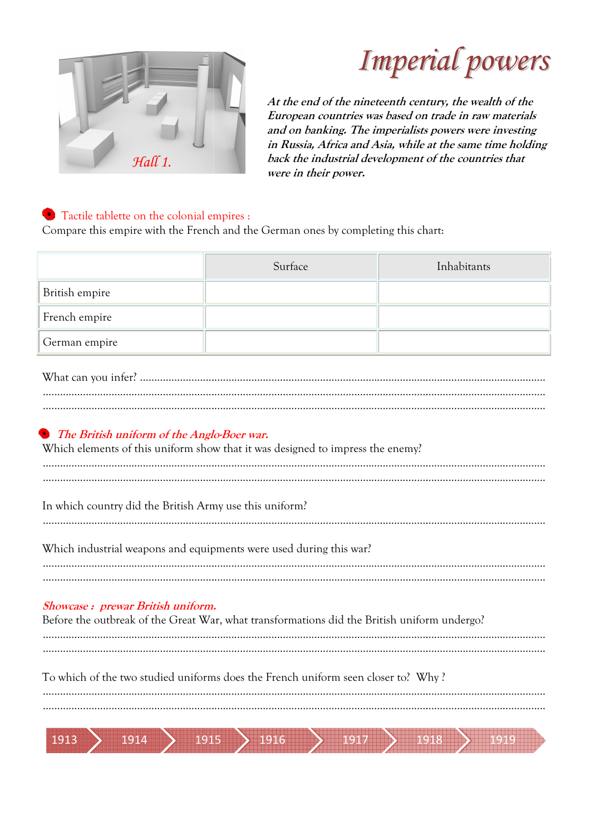

## **Imperial powers**

At the end of the nineteenth century, the wealth of the European countries was based on trade in raw materials and on banking. The imperialists powers were investing in Russia, Africa and Asia, while at the same time holding back the industrial development of the countries that were in their power.

#### • Tactile tablette on the colonial empires :

1913

1914

Compare this empire with the French and the German ones by completing this chart:

| Surface                                                                                                                          | Inhabitants |  |  |  |  |  |
|----------------------------------------------------------------------------------------------------------------------------------|-------------|--|--|--|--|--|
|                                                                                                                                  |             |  |  |  |  |  |
|                                                                                                                                  |             |  |  |  |  |  |
|                                                                                                                                  |             |  |  |  |  |  |
|                                                                                                                                  |             |  |  |  |  |  |
|                                                                                                                                  |             |  |  |  |  |  |
| • The British uniform of the Anglo-Boer war.<br>Which elements of this uniform show that it was designed to impress the enemy?   |             |  |  |  |  |  |
| In which country did the British Army use this uniform?                                                                          |             |  |  |  |  |  |
| Which industrial weapons and equipments were used during this war?                                                               |             |  |  |  |  |  |
| Showcase: prewar British uniform.<br>Before the outbreak of the Great War, what transformations did the British uniform undergo? |             |  |  |  |  |  |
| To which of the two studied uniforms does the French uniform seen closer to? Why?                                                |             |  |  |  |  |  |
|                                                                                                                                  |             |  |  |  |  |  |

1916

 $191$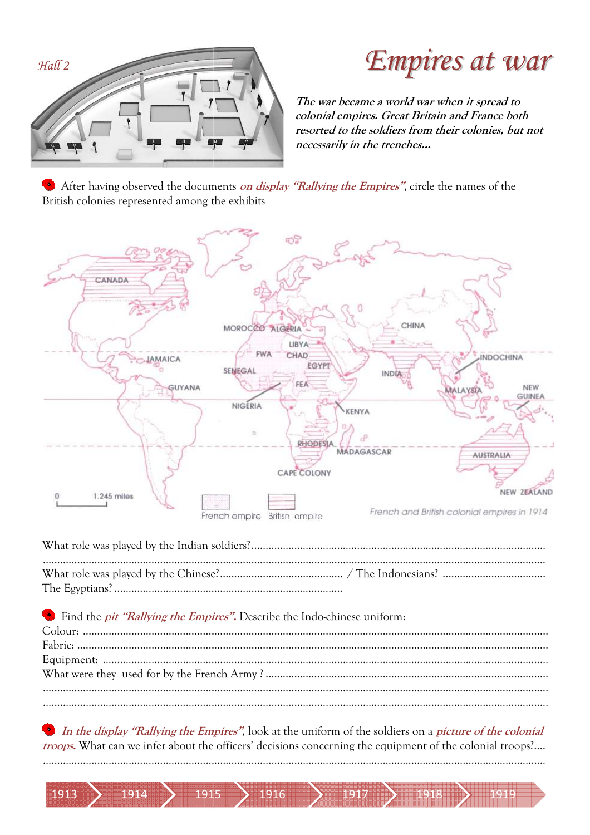

1914

1913

1915

**Empires at war** 

The war became a world war when it spread to colonial empires. Great Britain and France both resorted to the soldiers from their colonies, but not necessarily in the trenches...

After having observed the documents on display "Rallying the Empires", circle the names of the British colonies represented among the exhibits



In the display "Rallying the Empires", look at the uniform of the soldiers on a picture of the colonial troops. What can we infer about the officers' decisions concerning the equipment of the colonial troops?....

1917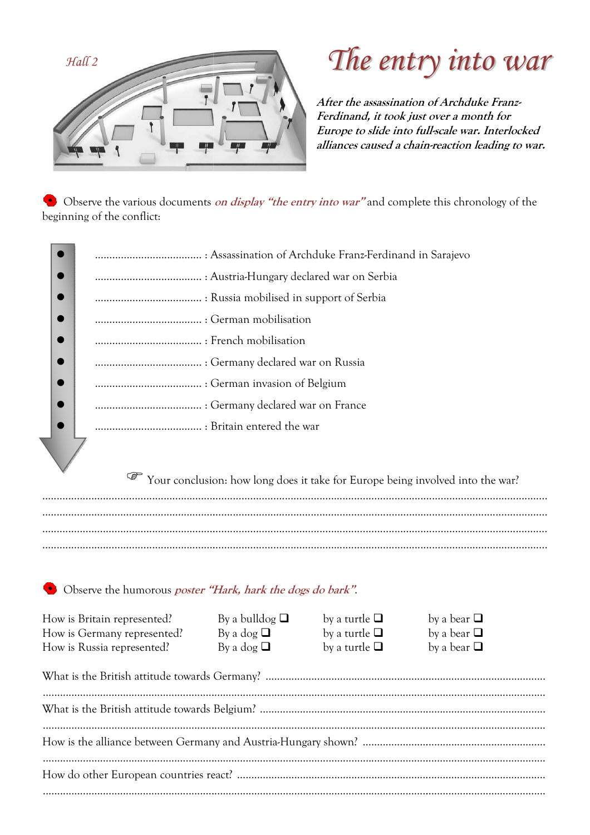

**CONTRACTOR** 

## The entry into war

After the assassination of Archduke Franz-Ferdinand, it took just over a month for Europe to slide into full-scale war. Interlocked alliances caused a chain-reaction leading to war.

• Observe the various documents *on display "the entry into war"* and complete this chronology of the beginning of the conflict:

| Your conclusion: how long does it take for Europe being involved into the war? |
|--------------------------------------------------------------------------------|
|                                                                                |
|                                                                                |
|                                                                                |
|                                                                                |

#### Observe the humorous *poster "Hark, hark the dogs do bark"*.

| How is Britain represented?<br>How is Germany represented?<br>How is Russia represented? | By a bulldog $\Box$<br>By a dog $\Box$<br>By a dog $\Box$ | by a turtle $\Box$<br>by a turtle $\Box$<br>by a turtle $\Box$ | by a bear $\Box$<br>by a bear $\Box$<br>by a bear $\Box$ |  |  |
|------------------------------------------------------------------------------------------|-----------------------------------------------------------|----------------------------------------------------------------|----------------------------------------------------------|--|--|
|                                                                                          |                                                           |                                                                |                                                          |  |  |
|                                                                                          |                                                           |                                                                |                                                          |  |  |
|                                                                                          |                                                           |                                                                |                                                          |  |  |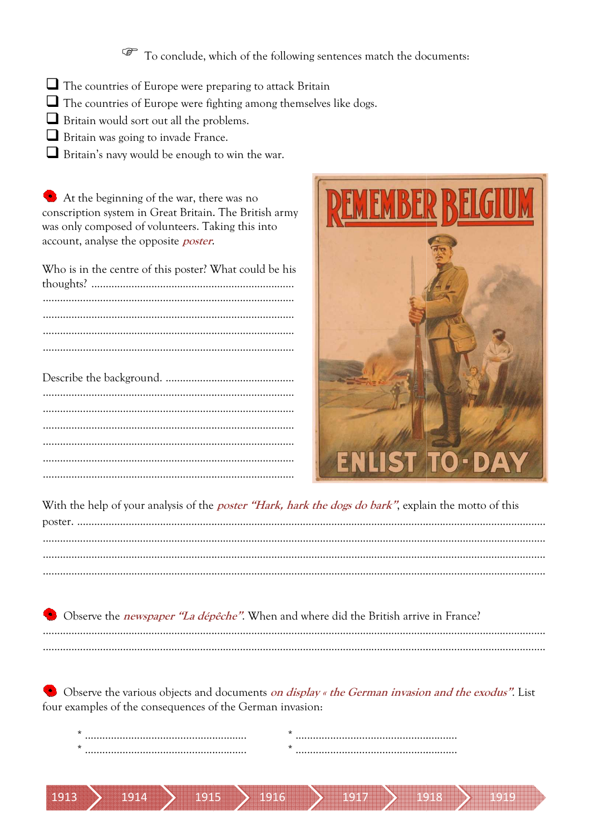To conclude, which of the following sentences match the documents:

- $\Box$  The countries of Europe were preparing to attack Britain
- $\Box$  The countries of Europe were fighting among themselves like dogs.
- $\Box$  Britain would sort out all the problems.
- $\Box$  Britain was going to invade France.
- $\Box$  Britain's navy would be enough to win the war.

At the beginning of the war, there was no conscription system in Great Britain. The British army was only composed of volunteers. Taking this into account, analyse the opposite *poster*.

Who is in the centre of this poster? What could be his 

1914

1913



With the help of your analysis of the *poster "Hark, hark the dogs do bark"*, explain the motto of this

Observe the *newspaper "La dépêche"*. When and where did the British arrive in France? 

• Observe the various objects and documents *on display « the German invasion and the exodus"*. List four examples of the consequences of the German invasion:

| s | ÷ |  |
|---|---|--|
| s |   |  |
|   |   |  |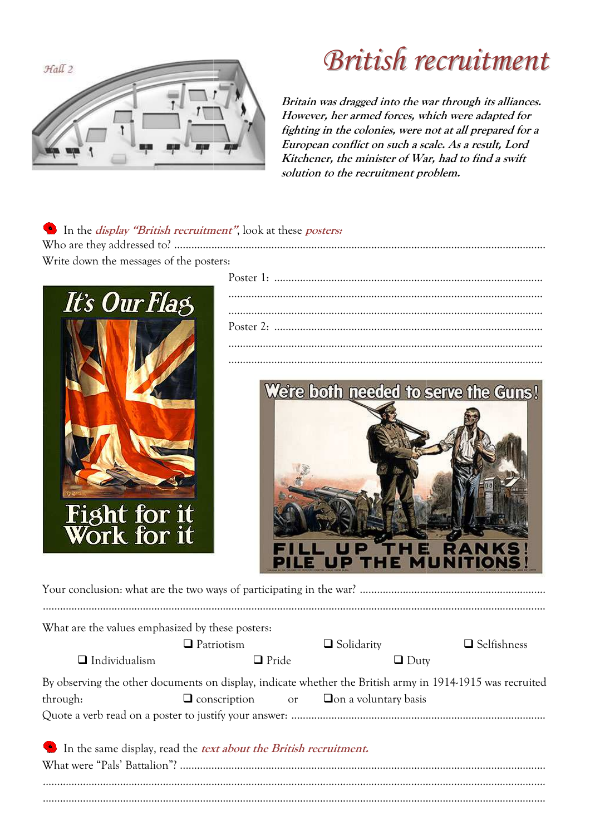

### **British recruitment**

Britain was dragged into the war through its alliances. However, her armed forces, which were adapted for fighting in the colonies, were not at all prepared for a European conflict on such a scale. As a result, Lord Kitchener, the minister of War, had to find a swift solution to the recruitment problem.

| • In the <i>display "British recruitment"</i> , look at these <i>posters:</i> |
|-------------------------------------------------------------------------------|
|                                                                               |
| Write down the messages of the posters:                                       |
|                                                                               |





Your conclusion: what are the two ways of participating in the war? ................................

| What are the values emphasized by these posters: |                                      |                             |                                                                                                           |
|--------------------------------------------------|--------------------------------------|-----------------------------|-----------------------------------------------------------------------------------------------------------|
|                                                  | $\Box$ Patriotism                    | $\Box$ Solidarity           | $\Box$ Selfishness                                                                                        |
| $\Box$ Individualism                             | $\Box$ Pride                         |                             | $\Box$ Duty                                                                                               |
|                                                  |                                      |                             | By observing the other documents on display, indicate whether the British army in 1914-1915 was recruited |
| through:                                         | $\Box$ conscription<br><sub>or</sub> | $\Box$ on a voluntary basis |                                                                                                           |

| In the same display, read the <i>text about the British recruitment</i> . |  |
|---------------------------------------------------------------------------|--|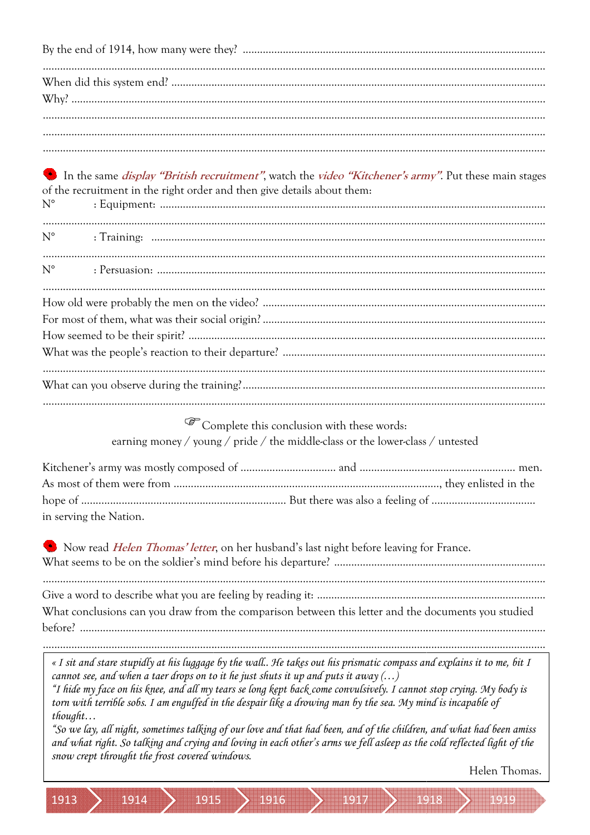In the same *display "British recruitment"*, watch the *video "Kitchener's army"*. Put these main stages of the recruitment in the right order and then give details about them:  $\cdot$  Equipment  $N<sup>0</sup>$ 

| $N^{\circ}$ |  |
|-------------|--|
|             |  |
| $N^{\circ}$ |  |
|             |  |
|             |  |
|             |  |
|             |  |
|             |  |
|             |  |
|             |  |
|             |  |
|             |  |

Complete this conclusion with these words: earning money / young / pride / the middle-class or the lower-class / untested

| in serving the Nation. |  |
|------------------------|--|

Now read *Helen Thomas' letter*, on her husband's last night before leaving for France.

What conclusions can you draw from the comparison between this letter and the documents you studied  $before<sup>7</sup>$ 

« I sit and stare stupidly at his luggage by the wall.. He takes out his prismatic compass and explains it to me, bit I cannot see, and when a taer drops on to it he just shuts it up and puts it away  $(...)$ 

"I hide my face on his knee, and all my tears se long kept back come convulsively. I cannot stop crying. My body is torn with terrible sobs. I am engulfed in the despair like a drowing man by the sea. My mind is incapable of  $thouaht...$ 

"So we lay, all night, sometimes talking of our love and that had been, and of the children, and what had been amiss and what right. So talking and crying and loving in each other's arms we fell asleep as the cold reflected light of the snow crept throught the frost covered windows.

**1916** 

Helen Thomas.

1914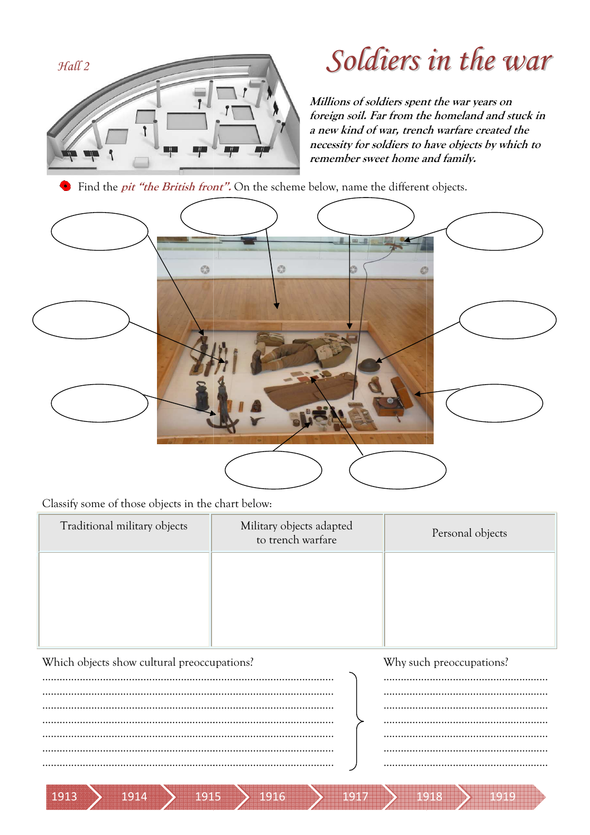

### Soldiers in the war

Millions of soldiers spent the war years on foreign soil. Far from the homeland and stuck in a new kind of war, trench warfare created the necessity for soldiers to have objects by which to remember sweet home and family.

• Find the *pit "the British front"*. On the scheme below, name the different objects.



Classify some of those objects in the chart below:

| Traditional military objects                | Military objects adapted<br>to trench warfare | Personal objects |  |
|---------------------------------------------|-----------------------------------------------|------------------|--|
|                                             |                                               |                  |  |
|                                             |                                               |                  |  |
|                                             |                                               |                  |  |
| Which objects show cultural preoccupations? | Why such preoccupations?                      |                  |  |
|                                             |                                               |                  |  |
|                                             |                                               |                  |  |

1916

1914